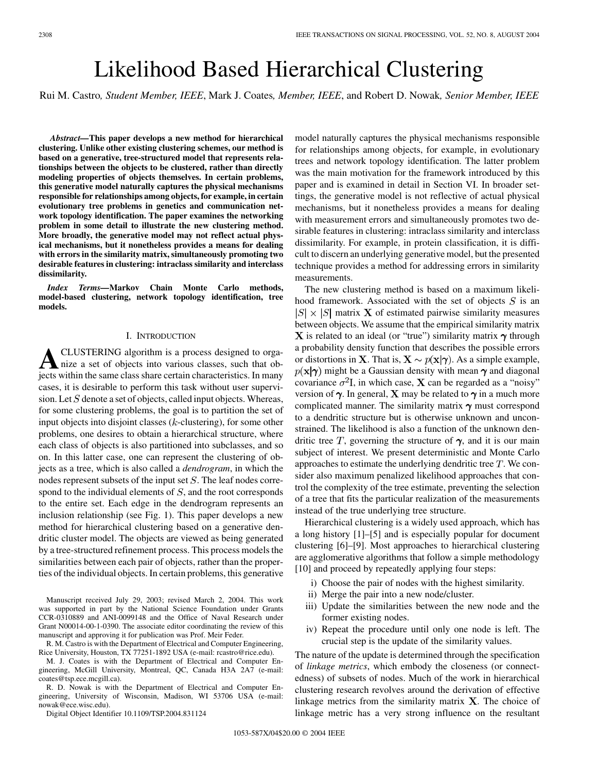# Likelihood Based Hierarchical Clustering

Rui M. Castro*, Student Member, IEEE*, Mark J. Coates*, Member, IEEE*, and Robert D. Nowak*, Senior Member, IEEE*

*Abstract—***This paper develops a new method for hierarchical clustering. Unlike other existing clustering schemes, our method is based on a generative, tree-structured model that represents relationships between the objects to be clustered, rather than directly modeling properties of objects themselves. In certain problems, this generative model naturally captures the physical mechanisms responsible for relationships among objects, for example, in certain evolutionary tree problems in genetics and communication network topology identification. The paper examines the networking problem in some detail to illustrate the new clustering method. More broadly, the generative model may not reflect actual physical mechanisms, but it nonetheless provides a means for dealing with errors in the similarity matrix, simultaneously promoting two desirable features in clustering: intraclass similarity and interclass dissimilarity.**

*Index Terms—***Markov Chain Monte Carlo methods, model-based clustering, network topology identification, tree models.**

#### I. INTRODUCTION

**A**CLUSTERING algorithm is a process designed to organize a set of objects into various classes, such that objects within the same class share certain characteristics. In many cases, it is desirable to perform this task without user supervision. Let  $S$  denote a set of objects, called input objects. Whereas, for some clustering problems, the goal is to partition the set of input objects into disjoint classes  $(k$ -clustering), for some other problems, one desires to obtain a hierarchical structure, where each class of objects is also partitioned into subclasses, and so on. In this latter case, one can represent the clustering of objects as a tree, which is also called a *dendrogram*, in which the nodes represent subsets of the input set  $S$ . The leaf nodes correspond to the individual elements of  $S$ , and the root corresponds to the entire set. Each edge in the dendrogram represents an inclusion relationship (see Fig. 1). This paper develops a new method for hierarchical clustering based on a generative dendritic cluster model. The objects are viewed as being generated by a tree-structured refinement process. This process models the similarities between each pair of objects, rather than the properties of the individual objects. In certain problems, this generative

Manuscript received July 29, 2003; revised March 2, 2004. This work was supported in part by the National Science Foundation under Grants CCR-0310889 and ANI-0099148 and the Office of Naval Research under Grant N00014-00-1-0390. The associate editor coordinating the review of this manuscript and approving it for publication was Prof. Meir Feder.

R. M. Castro is with the Department of Electrical and Computer Engineering, Rice University, Houston, TX 77251-1892 USA (e-mail: rcastro@rice.edu).

M. J. Coates is with the Department of Electrical and Computer Engineering, McGill University, Montreal, QC, Canada H3A 2A7 (e-mail: coates@tsp.ece.mcgill.ca).

R. D. Nowak is with the Department of Electrical and Computer Engineering, University of Wisconsin, Madison, WI 53706 USA (e-mail: nowak@ece.wisc.edu).

Digital Object Identifier 10.1109/TSP.2004.831124

model naturally captures the physical mechanisms responsible for relationships among objects, for example, in evolutionary trees and network topology identification. The latter problem was the main motivation for the framework introduced by this paper and is examined in detail in Section VI. In broader settings, the generative model is not reflective of actual physical mechanisms, but it nonetheless provides a means for dealing with measurement errors and simultaneously promotes two desirable features in clustering: intraclass similarity and interclass dissimilarity. For example, in protein classification, it is difficult to discern an underlying generative model, but the presented technique provides a method for addressing errors in similarity measurements.

The new clustering method is based on a maximum likelihood framework. Associated with the set of objects  $S$  is an  $|S| \times |S|$  matrix X of estimated pairwise similarity measures between objects. We assume that the empirical similarity matrix X is related to an ideal (or "true") similarity matrix  $\gamma$  through a probability density function that describes the possible errors or distortions in **X**. That is,  $X \sim p(x|\gamma)$ . As a simple example,  $p(\mathbf{x}|\boldsymbol{\gamma})$  might be a Gaussian density with mean  $\boldsymbol{\gamma}$  and diagonal covariance  $\sigma^2 I$ , in which case, **X** can be regarded as a "noisy" version of  $\gamma$ . In general, **X** may be related to  $\gamma$  in a much more complicated manner. The similarity matrix  $\gamma$  must correspond to a dendritic structure but is otherwise unknown and unconstrained. The likelihood is also a function of the unknown dendritic tree T, governing the structure of  $\gamma$ , and it is our main subject of interest. We present deterministic and Monte Carlo approaches to estimate the underlying dendritic tree  $T$ . We consider also maximum penalized likelihood approaches that control the complexity of the tree estimate, preventing the selection of a tree that fits the particular realization of the measurements instead of the true underlying tree structure.

Hierarchical clustering is a widely used approach, which has a long history [\[1\]](#page-12-0)–[[5\]](#page-12-0) and is especially popular for document clustering [[6\]](#page-12-0)–[\[9](#page-12-0)]. Most approaches to hierarchical clustering are agglomerative algorithms that follow a simple methodology [[10\]](#page-12-0) and proceed by repeatedly applying four steps:

- i) Choose the pair of nodes with the highest similarity.
- ii) Merge the pair into a new node/cluster.
- iii) Update the similarities between the new node and the former existing nodes.
- iv) Repeat the procedure until only one node is left. The crucial step is the update of the similarity values.

The nature of the update is determined through the specification of *linkage metrics*, which embody the closeness (or connectedness) of subsets of nodes. Much of the work in hierarchical clustering research revolves around the derivation of effective linkage metrics from the similarity matrix  $X$ . The choice of linkage metric has a very strong influence on the resultant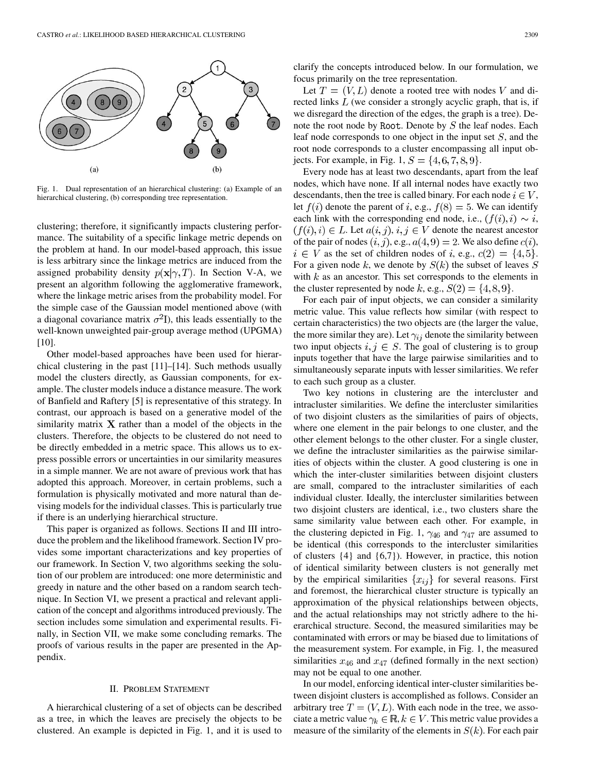

Fig. 1. Dual representation of an hierarchical clustering: (a) Example of an hierarchical clustering, (b) corresponding tree representation.

clustering; therefore, it significantly impacts clustering performance. The suitability of a specific linkage metric depends on the problem at hand. In our model-based approach, this issue is less arbitrary since the linkage metrics are induced from the assigned probability density  $p(\mathbf{x} | \gamma, T)$ . In Section V-A, we present an algorithm following the agglomerative framework, where the linkage metric arises from the probability model. For the simple case of the Gaussian model mentioned above (with a diagonal covariance matrix  $\sigma^2 I$ ), this leads essentially to the well-known unweighted pair-group average method (UPGMA)  $[10]$  $[10]$ .

Other model-based approaches have been used for hierarchical clustering in the past [[11\]](#page-12-0)–[\[14](#page-12-0)]. Such methods usually model the clusters directly, as Gaussian components, for example. The cluster models induce a distance measure. The work of Banfield and Raftery [[5\]](#page-12-0) is representative of this strategy. In contrast, our approach is based on a generative model of the similarity matrix  $X$  rather than a model of the objects in the clusters. Therefore, the objects to be clustered do not need to be directly embedded in a metric space. This allows us to express possible errors or uncertainties in our similarity measures in a simple manner. We are not aware of previous work that has adopted this approach. Moreover, in certain problems, such a formulation is physically motivated and more natural than devising models for the individual classes. This is particularly true if there is an underlying hierarchical structure.

This paper is organized as follows. Sections II and III introduce the problem and the likelihood framework. Section IV provides some important characterizations and key properties of our framework. In Section V, two algorithms seeking the solution of our problem are introduced: one more deterministic and greedy in nature and the other based on a random search technique. In Section VI, we present a practical and relevant application of the concept and algorithms introduced previously. The section includes some simulation and experimental results. Finally, in Section VII, we make some concluding remarks. The proofs of various results in the paper are presented in the Appendix.

# II. PROBLEM STATEMENT

A hierarchical clustering of a set of objects can be described as a tree, in which the leaves are precisely the objects to be clustered. An example is depicted in Fig. 1, and it is used to clarify the concepts introduced below. In our formulation, we focus primarily on the tree representation.

Let  $T = (V, L)$  denote a rooted tree with nodes V and directed links  $L$  (we consider a strongly acyclic graph, that is, if we disregard the direction of the edges, the graph is a tree). Denote the root node by Root. Denote by  $S$  the leaf nodes. Each leaf node corresponds to one object in the input set  $S$ , and the root node corresponds to a cluster encompassing all input objects. For example, in Fig. 1,  $S = \{4, 6, 7, 8, 9\}.$ 

Every node has at least two descendants, apart from the leaf nodes, which have none. If all internal nodes have exactly two descendants, then the tree is called binary. For each node  $i \in V$ , let  $f(i)$  denote the parent of i, e.g.,  $f(8) = 5$ . We can identify each link with the corresponding end node, i.e.,  $(f(i), i) \sim i$ ,  $(f(i), i) \in L$ . Let  $a(i, j), i, j \in V$  denote the nearest ancestor of the pair of nodes  $(i, j)$ , e.g.,  $a(4, 9) = 2$ . We also define  $c(i)$ ,  $i \in V$  as the set of children nodes of i, e.g.,  $c(2) = \{4, 5\}.$ For a given node k, we denote by  $S(k)$  the subset of leaves S with  $k$  as an ancestor. This set corresponds to the elements in the cluster represented by node k, e.g.,  $S(2) = \{4, 8, 9\}.$ 

For each pair of input objects, we can consider a similarity metric value. This value reflects how similar (with respect to certain characteristics) the two objects are (the larger the value, the more similar they are). Let  $\gamma_{ij}$  denote the similarity between two input objects  $i, j \in S$ . The goal of clustering is to group inputs together that have the large pairwise similarities and to simultaneously separate inputs with lesser similarities. We refer to each such group as a cluster.

Two key notions in clustering are the intercluster and intracluster similarities. We define the intercluster similarities of two disjoint clusters as the similarities of pairs of objects, where one element in the pair belongs to one cluster, and the other element belongs to the other cluster. For a single cluster, we define the intracluster similarities as the pairwise similarities of objects within the cluster. A good clustering is one in which the inter-cluster similarities between disjoint clusters are small, compared to the intracluster similarities of each individual cluster. Ideally, the intercluster similarities between two disjoint clusters are identical, i.e., two clusters share the same similarity value between each other. For example, in the clustering depicted in Fig. 1,  $\gamma_{46}$  and  $\gamma_{47}$  are assumed to be identical (this corresponds to the intercluster similarities of clusters {4} and {6,7}). However, in practice, this notion of identical similarity between clusters is not generally met by the empirical similarities  $\{x_{ij}\}\$  for several reasons. First and foremost, the hierarchical cluster structure is typically an approximation of the physical relationships between objects, and the actual relationships may not strictly adhere to the hierarchical structure. Second, the measured similarities may be contaminated with errors or may be biased due to limitations of the measurement system. For example, in Fig. 1, the measured similarities  $x_{46}$  and  $x_{47}$  (defined formally in the next section) may not be equal to one another.

In our model, enforcing identical inter-cluster similarities between disjoint clusters is accomplished as follows. Consider an arbitrary tree  $T = (V, L)$ . With each node in the tree, we associate a metric value  $\gamma_k \in \mathbb{R}$ ,  $k \in V$ . This metric value provides a measure of the similarity of the elements in  $S(k)$ . For each pair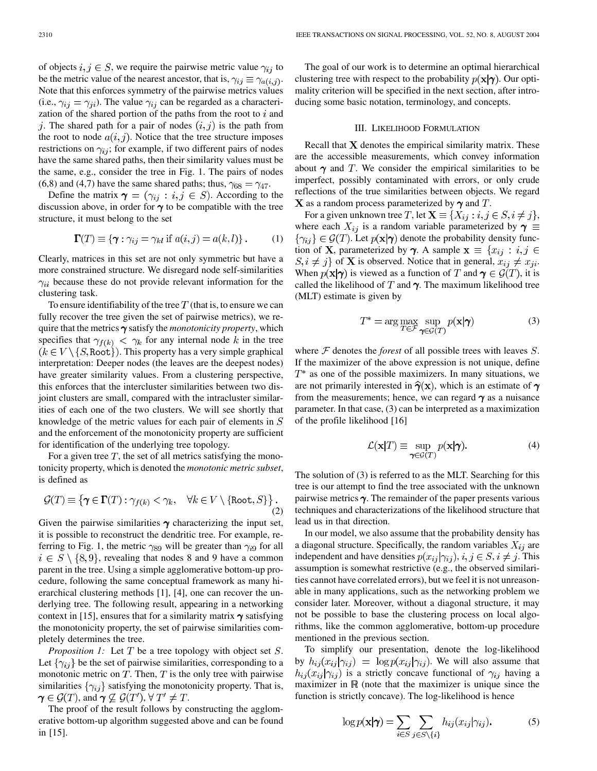of objects  $i, j \in S$ , we require the pairwise metric value  $\gamma_{ij}$  to be the metric value of the nearest ancestor, that is,  $\gamma_{ij} \equiv \gamma_{a(i,j)}$ . Note that this enforces symmetry of the pairwise metrics values (i.e.,  $\gamma_{ij} = \gamma_{ji}$ ). The value  $\gamma_{ij}$  can be regarded as a characterization of the shared portion of the paths from the root to  $i$  and j. The shared path for a pair of nodes  $(i, j)$  is the path from the root to node  $a(i, j)$ . Notice that the tree structure imposes restrictions on  $\gamma_{ij}$ ; for example, if two different pairs of nodes have the same shared paths, then their similarity values must be the same, e.g., consider the tree in Fig. 1. The pairs of nodes (6,8) and (4,7) have the same shared paths; thus,  $\gamma_{68} = \gamma_{47}$ .

Define the matrix  $\gamma = (\gamma_{ij} : i, j \in S)$ . According to the discussion above, in order for  $\gamma$  to be compatible with the tree structure, it must belong to the set

$$
\mathbf{\Gamma}(T) \equiv \{ \boldsymbol{\gamma} : \gamma_{ij} = \gamma_{kl} \text{ if } a(i,j) = a(k,l) \}.
$$
 (1)

Clearly, matrices in this set are not only symmetric but have a more constrained structure. We disregard node self-similarities  $\gamma_{ii}$  because these do not provide relevant information for the clustering task.

To ensure identifiability of the tree  $T$  (that is, to ensure we can fully recover the tree given the set of pairwise metrics), we require that the metrics  $\gamma$  satisfy the *monotonicity property*, which specifies that  $\gamma_{f(k)} < \gamma_k$  for any internal node k in the tree  $(k \in V \setminus \{S, \text{Root}\})$ . This property has a very simple graphical interpretation: Deeper nodes (the leaves are the deepest nodes) have greater similarity values. From a clustering perspective, this enforces that the intercluster similarities between two disjoint clusters are small, compared with the intracluster similarities of each one of the two clusters. We will see shortly that knowledge of the metric values for each pair of elements in  $S$ and the enforcement of the monotonicity property are sufficient for identification of the underlying tree topology.

For a given tree  $T$ , the set of all metrics satisfying the monotonicity property, which is denoted the *monotonic metric subset*, is defined as

$$
\mathcal{G}(T) \equiv \{ \pmb{\gamma} \in \Gamma(T) : \gamma_{f(k)} < \gamma_k, \quad \forall k \in V \setminus \{\text{Root}, S\} \}.
$$
\n<sup>(2)</sup>

Given the pairwise similarities  $\gamma$  characterizing the input set, it is possible to reconstruct the dendritic tree. For example, referring to Fig. 1, the metric  $\gamma_{89}$  will be greater than  $\gamma_{i9}$  for all  $i \in S \setminus \{8,9\}$ , revealing that nodes 8 and 9 have a common parent in the tree. Using a simple agglomerative bottom-up procedure, following the same conceptual framework as many hierarchical clustering methods [\[1](#page-12-0)], [[4](#page-12-0)], one can recover the underlying tree. The following result, appearing in a networking context in [[15\]](#page-12-0), ensures that for a similarity matrix  $\gamma$  satisfying the monotonicity property, the set of pairwise similarities completely determines the tree.

*Proposition 1:* Let  $T$  be a tree topology with object set  $S$ . Let  $\{\gamma_{ij}\}\$ be the set of pairwise similarities, corresponding to a monotonic metric on  $T$ . Then,  $T$  is the only tree with pairwise similarities  $\{\gamma_{ij}\}$  satisfying the monotonicity property. That is,  $\gamma \in \mathcal{G}(T)$ , and  $\gamma \nsubseteq \mathcal{G}(T')$ ,  $\forall T' \neq T$ .

The proof of the result follows by constructing the agglomerative bottom-up algorithm suggested above and can be found in [[15\]](#page-12-0).

The goal of our work is to determine an optimal hierarchical clustering tree with respect to the probability  $p(\mathbf{x}|\boldsymbol{\gamma})$ . Our optimality criterion will be specified in the next section, after introducing some basic notation, terminology, and concepts.

#### III. LIKELIHOOD FORMULATION

Recall that  $X$  denotes the empirical similarity matrix. These are the accessible measurements, which convey information about  $\gamma$  and T. We consider the empirical similarities to be imperfect, possibly contaminated with errors, or only crude reflections of the true similarities between objects. We regard **X** as a random process parameterized by  $\gamma$  and T.

For a given unknown tree T, let  $X \equiv \{X_{ij} : i, j \in S, i \neq j\},\$ where each  $X_{ij}$  is a random variable parameterized by  $\gamma \equiv$  $\{\gamma_{ij}\}\in \mathcal{G}(T)$ . Let  $p(\mathbf{x}|\boldsymbol{\gamma})$  denote the probability density function of **X**, parameterized by  $\gamma$ . A sample  $\mathbf{x} \equiv \{x_{ij} : i, j \in \mathbb{R}\}$  $S, i \neq j$  of **X** is observed. Notice that in general,  $x_{ij} \neq x_{ji}$ . When  $p(\mathbf{x}|\boldsymbol{\gamma})$  is viewed as a function of T and  $\boldsymbol{\gamma} \in \mathcal{G}(T)$ , it is called the likelihood of T and  $\gamma$ . The maximum likelihood tree (MLT) estimate is given by

$$
T^* = \arg\max_{T \in \mathcal{F}} \sup_{\gamma \in \mathcal{G}(T)} p(\mathbf{x}|\gamma)
$$
 (3)

where  $\mathcal F$  denotes the *forest* of all possible trees with leaves  $S$ . If the maximizer of the above expression is not unique, define  $T^*$  as one of the possible maximizers. In many situations, we are not primarily interested in  $\hat{\gamma}(x)$ , which is an estimate of  $\gamma$ from the measurements; hence, we can regard  $\gamma$  as a nuisance parameter. In that case, (3) can be interpreted as a maximization of the profile likelihood [\[16](#page-12-0)]

$$
\mathcal{L}(\mathbf{x}|T) \equiv \sup_{\gamma \in \mathcal{G}(T)} p(\mathbf{x}|\gamma).
$$
 (4)

The solution of (3) is referred to as the MLT. Searching for this tree is our attempt to find the tree associated with the unknown pairwise metrics  $\gamma$ . The remainder of the paper presents various techniques and characterizations of the likelihood structure that lead us in that direction.

In our model, we also assume that the probability density has a diagonal structure. Specifically, the random variables  $X_{ij}$  are independent and have densities  $p(x_{ij}|\gamma_{ij}), i, j \in S, i \neq j$ . This assumption is somewhat restrictive (e.g., the observed similarities cannot have correlated errors), but we feel it is not unreasonable in many applications, such as the networking problem we consider later. Moreover, without a diagonal structure, it may not be possible to base the clustering process on local algorithms, like the common agglomerative, bottom-up procedure mentioned in the previous section.

To simplify our presentation, denote the log-likelihood by  $h_{ij}(x_{ij}|\gamma_{ij}) = \log p(x_{ij}|\gamma_{ij})$ . We will also assume that  $h_{ij}(x_{ij}|\gamma_{ij})$  is a strictly concave functional of  $\gamma_{ij}$  having a maximizer in  $\mathbb R$  (note that the maximizer is unique since the function is strictly concave). The log-likelihood is hence

$$
\log p(\mathbf{x}|\boldsymbol{\gamma}) = \sum_{i \in S} \sum_{j \in S \setminus \{i\}} h_{ij}(x_{ij}|\gamma_{ij}). \tag{5}
$$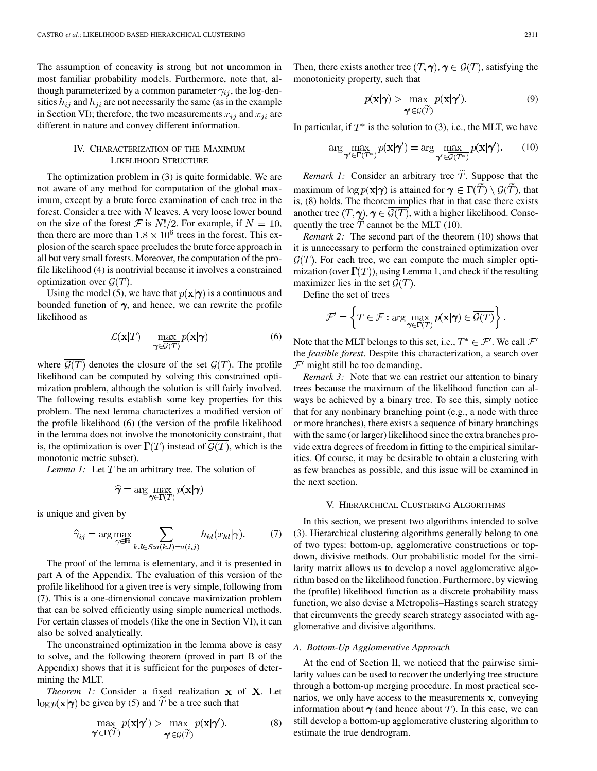The assumption of concavity is strong but not uncommon in most familiar probability models. Furthermore, note that, although parameterized by a common parameter  $\gamma_{ij}$ , the log-densities  $h_{ij}$  and  $h_{ji}$  are not necessarily the same (as in the example in Section VI); therefore, the two measurements  $x_{ii}$  and  $x_{ii}$  are different in nature and convey different information.

# IV. CHARACTERIZATION OF THE MAXIMUM LIKELIHOOD STRUCTURE

The optimization problem in (3) is quite formidable. We are not aware of any method for computation of the global maximum, except by a brute force examination of each tree in the forest. Consider a tree with  $N$  leaves. A very loose lower bound on the size of the forest  $\mathcal F$  is  $N!/2$ . For example, if  $N = 10$ , then there are more than  $1.8 \times 10^6$  trees in the forest. This explosion of the search space precludes the brute force approach in all but very small forests. Moreover, the computation of the profile likelihood (4) is nontrivial because it involves a constrained optimization over  $\mathcal{G}(T)$ .

Using the model (5), we have that  $p(\mathbf{x}|\boldsymbol{\gamma})$  is a continuous and bounded function of  $\gamma$ , and hence, we can rewrite the profile likelihood as

$$
\mathcal{L}(\mathbf{x}|T) \equiv \max_{\pmb{\gamma} \in \overline{\mathcal{G}(T)}} p(\mathbf{x}|\pmb{\gamma})
$$
 (6)

where  $\overline{\mathcal{G}(T)}$  denotes the closure of the set  $\mathcal{G}(T)$ . The profile likelihood can be computed by solving this constrained optimization problem, although the solution is still fairly involved. The following results establish some key properties for this problem. The next lemma characterizes a modified version of the profile likelihood (6) (the version of the profile likelihood in the lemma does not involve the monotonicity constraint, that is, the optimization is over  $\mathbf{\Gamma}(T)$  instead of  $\overline{\mathcal{G}(T)}$ , which is the monotonic metric subset).

*Lemma 1:* Let  $T$  be an arbitrary tree. The solution of

$$
\widehat{\boldsymbol{\gamma}} = \arg\max_{\boldsymbol{\gamma} \in \boldsymbol{\Gamma}(T)} p(\mathbf{x}|\boldsymbol{\gamma})
$$

is unique and given by

$$
\widehat{\gamma}_{ij} = \arg \max_{\gamma \in \mathbb{R}} \sum_{k,l \in S: a(k,l) = a(i,j)} h_{kl}(x_{kl}|\gamma). \tag{7}
$$

The proof of the lemma is elementary, and it is presented in part A of the Appendix. The evaluation of this version of the profile likelihood for a given tree is very simple, following from (7). This is a one-dimensional concave maximization problem that can be solved efficiently using simple numerical methods. For certain classes of models (like the one in Section VI), it can also be solved analytically.

The unconstrained optimization in the lemma above is easy to solve, and the following theorem (proved in part B of the Appendix) shows that it is sufficient for the purposes of determining the MLT.

*Theorem 1:* Consider a fixed realization  $x$  of  $X$ . Let  $\log p(\mathbf{x}|\boldsymbol{\gamma})$  be given by (5) and  $\tilde{T}$  be a tree such that

$$
\max_{\gamma' \in \Gamma(\widetilde{T})} p(\mathbf{x}|\gamma') > \max_{\gamma' \in \widetilde{\mathcal{G}(\widetilde{T})}} p(\mathbf{x}|\gamma'). \tag{8}
$$

Then, there exists another tree  $(T, \gamma)$ ,  $\gamma \in \mathcal{G}(T)$ , satisfying the monotonicity property, such that

$$
p(\mathbf{x}|\boldsymbol{\gamma}) > \max_{\boldsymbol{\gamma}' \in \widehat{\mathcal{G}(T)}} p(\mathbf{x}|\boldsymbol{\gamma}').
$$
 (9)

In particular, if  $T^*$  is the solution to (3), i.e., the MLT, we have

$$
\arg\max_{\pmb{\gamma}' \in \pmb{\Gamma}(T^*)} p(\pmb{\mathbf{x}}|\pmb{\gamma}') = \arg\max_{\pmb{\gamma}' \in \mathcal{G}(T^*)} p(\pmb{\mathbf{x}}|\pmb{\gamma}'). \tag{10}
$$

*Remark 1:* Consider an arbitrary tree  $\widetilde{T}$ . Suppose that the maximum of  $\log p(\mathbf{x}|\boldsymbol{\gamma})$  is attained for  $\boldsymbol{\gamma} \in \Gamma(\tilde{T}) \setminus \mathcal{G}(\tilde{T})$ , that is, (8) holds. The theorem implies that in that case there exists another tree  $(T, \gamma)$ ,  $\gamma \in \mathcal{G}(T)$ , with a higher likelihood. Consequently the tree  $T$  cannot be the MLT (10).

*Remark 2:* The second part of the theorem (10) shows that it is unnecessary to perform the constrained optimization over  $\mathcal{G}(T)$ . For each tree, we can compute the much simpler optimization (over  $\Gamma(T)$ ), using Lemma 1, and check if the resulting maximizer lies in the set  $\mathcal{G}(T)$ .

Define the set of trees

$$
\mathcal{F}' = \left\{ T \in \mathcal{F} : \arg \max_{\pmb{\gamma} \in \mathbf{\Gamma}(T)} p(\mathbf{x}|\pmb{\gamma}) \in \overline{\mathcal{G}(T)} \right\}.
$$

Note that the MLT belongs to this set, i.e.,  $T^* \in \mathcal{F}'$ . We call  $\mathcal{F}'$ the *feasible forest*. Despite this characterization, a search over  $\mathcal{F}'$  might still be too demanding.

*Remark 3:* Note that we can restrict our attention to binary trees because the maximum of the likelihood function can always be achieved by a binary tree. To see this, simply notice that for any nonbinary branching point (e.g., a node with three or more branches), there exists a sequence of binary branchings with the same (or larger) likelihood since the extra branches provide extra degrees of freedom in fitting to the empirical similarities. Of course, it may be desirable to obtain a clustering with as few branches as possible, and this issue will be examined in the next section.

## V. HIERARCHICAL CLUSTERING ALGORITHMS

In this section, we present two algorithms intended to solve (3). Hierarchical clustering algorithms generally belong to one of two types: bottom-up, agglomerative constructions or topdown, divisive methods. Our probabilistic model for the similarity matrix allows us to develop a novel agglomerative algorithm based on the likelihood function. Furthermore, by viewing the (profile) likelihood function as a discrete probability mass function, we also devise a Metropolis–Hastings search strategy that circumvents the greedy search strategy associated with agglomerative and divisive algorithms.

### *A. Bottom-Up Agglomerative Approach*

At the end of Section II, we noticed that the pairwise similarity values can be used to recover the underlying tree structure through a bottom-up merging procedure. In most practical scenarios, we only have access to the measurements  $x$ , conveying information about  $\gamma$  (and hence about T). In this case, we can still develop a bottom-up agglomerative clustering algorithm to estimate the true dendrogram.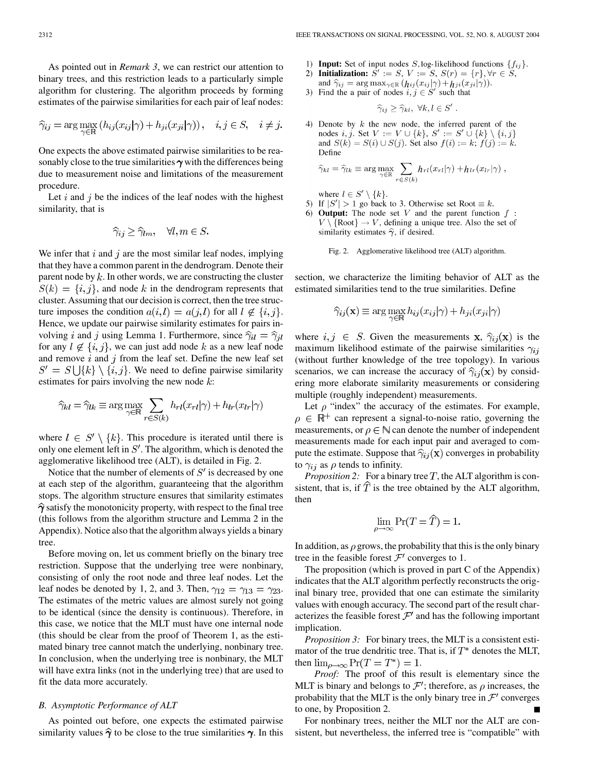As pointed out in *Remark 3*, we can restrict our attention to binary trees, and this restriction leads to a particularly simple algorithm for clustering. The algorithm proceeds by forming estimates of the pairwise similarities for each pair of leaf nodes:

$$
\widehat{\gamma}_{ij} = \arg \max_{\gamma \in \mathbb{R}} \left( h_{ij}(x_{ij}|\gamma) + h_{ji}(x_{ji}|\gamma) \right), \quad i, j \in S, \quad i \neq j.
$$

One expects the above estimated pairwise similarities to be reasonably close to the true similarities  $\gamma$  with the differences being due to measurement noise and limitations of the measurement procedure.

Let  $i$  and  $j$  be the indices of the leaf nodes with the highest similarity, that is

$$
\widehat{\gamma}_{ij} \ge \widehat{\gamma}_{lm}, \quad \forall l, m \in S.
$$

We infer that  $i$  and  $j$  are the most similar leaf nodes, implying that they have a common parent in the dendrogram. Denote their parent node by  $k$ . In other words, we are constructing the cluster  $S(k) = \{i, j\}$ , and node k in the dendrogram represents that cluster. Assuming that our decision is correct, then the tree structure imposes the condition  $a(i, l) = a(j, l)$  for all  $l \notin \{i, j\}.$ Hence, we update our pairwise similarity estimates for pairs involving i and j using Lemma 1. Furthermore, since  $\hat{\gamma}_{il} = \hat{\gamma}_{il}$ for any  $l \notin \{i, j\}$ , we can just add node k as a new leaf node and remove  $i$  and  $j$  from the leaf set. Define the new leaf set  $S' = S \cup \{k\} \setminus \{i, j\}$ . We need to define pairwise similarity estimates for pairs involving the new node  $k$ :

$$
\widehat{\gamma}_{kl} = \widehat{\gamma}_{lk} \equiv \arg \max_{\gamma \in \mathbb{R}} \sum_{r \in S(k)} h_{rl}(x_{rl}|\gamma) + h_{lr}(x_{lr}|\gamma)
$$

where  $l \in S' \setminus \{k\}$ . This procedure is iterated until there is only one element left in  $S'$ . The algorithm, which is denoted the agglomerative likelihood tree (ALT), is detailed in Fig. 2.

Notice that the number of elements of  $S'$  is decreased by one at each step of the algorithm, guaranteeing that the algorithm stops. The algorithm structure ensures that similarity estimates  $\hat{\gamma}$  satisfy the monotonicity property, with respect to the final tree (this follows from the algorithm structure and Lemma 2 in the Appendix). Notice also that the algorithm always yields a binary tree.

Before moving on, let us comment briefly on the binary tree restriction. Suppose that the underlying tree were nonbinary, consisting of only the root node and three leaf nodes. Let the leaf nodes be denoted by 1, 2, and 3. Then,  $\gamma_{12} = \gamma_{13} = \gamma_{23}$ . The estimates of the metric values are almost surely not going to be identical (since the density is continuous). Therefore, in this case, we notice that the MLT must have one internal node (this should be clear from the proof of Theorem 1, as the estimated binary tree cannot match the underlying, nonbinary tree. In conclusion, when the underlying tree is nonbinary, the MLT will have extra links (not in the underlying tree) that are used to fit the data more accurately.

#### *B. Asymptotic Performance of ALT*

As pointed out before, one expects the estimated pairwise similarity values  $\hat{\gamma}$  to be close to the true similarities  $\gamma$ . In this

- 1) **Input:** Set of input nodes  $S$ , log-likelihood functions  $\{f_{ij}\}$ .
- **Initialization:**  $\overline{S'} := S$ ,  $V := S$ ,  $S(r) = \{r\}, \forall r \in \overline{S}$ ,  $(2)$
- and  $\widehat{\gamma}_{ij} = \arg \max_{\gamma \in \mathbb{R}} (h_{ij}(x_{ij}|\gamma) + h_{ji}(x_{ji}|\gamma)).$ 3) Find the a pair of nodes  $i, j \in S'$  such that

$$
\widehat{\gamma}_{ii} > \widehat{\gamma}_{kl}, \ \forall k, l \in S'.
$$

4) Denote by  $k$  the new node, the inferred parent of the nodes *i*, *j*. Set  $V := V \cup \{k\}$ ,  $S' := S' \cup \{k\} \setminus \{i, j\}$ and  $S(k) = S(i) \cup S(j)$ . Set also  $f(i) := k$ ;  $f(j) := k$ . Define

$$
\widehat{\gamma}_{kl} = \widehat{\gamma}_{lk} \equiv \arg \max_{\gamma \in \mathbb{R}} \sum_{r \in S(k)} h_{rl}(x_{rl}|\gamma) + h_{lr}(x_{lr}|\gamma) ,
$$

where  $l \in S' \setminus \{k\}.$ 

- 5) If  $|S'| > 1$  go back to 3. Otherwise set Root  $\equiv k$ .
- **Output:** The node set  $V$  and the parent function  $f$ :  $V \setminus \{\text{Root}\} \to V$ , defining a unique tree. Also the set of similarity estimates  $\hat{\gamma}$ , if desired.

section, we characterize the limiting behavior of ALT as the estimated similarities tend to the true similarities. Define

$$
\widehat{\gamma}_{ij}(\mathbf{x}) \equiv \arg \max_{\gamma \in \mathbb{R}} h_{ij}(x_{ij}|\gamma) + h_{ji}(x_{ji}|\gamma)
$$

where  $i, j \in S$ . Given the measurements **x**,  $\hat{\gamma}_{ij}(\mathbf{x})$  is the maximum likelihood estimate of the pairwise similarities  $\gamma_{ij}$ (without further knowledge of the tree topology). In various scenarios, we can increase the accuracy of  $\hat{\gamma}_{ij}(\mathbf{x})$  by considering more elaborate similarity measurements or considering multiple (roughly independent) measurements.

Let  $\rho$  "index" the accuracy of the estimates. For example,  $\rho \in \mathbb{R}^+$  can represent a signal-to-noise ratio, governing the measurements, or  $\rho \in \mathbb{N}$  can denote the number of independent measurements made for each input pair and averaged to compute the estimate. Suppose that  $\hat{\gamma}_{ij}(\mathbf{x})$  converges in probability to  $\gamma_{ij}$  as  $\rho$  tends to infinity.

*Proposition 2:* For a binary tree  $T$ , the ALT algorithm is consistent, that is, if  $\hat{T}$  is the tree obtained by the ALT algorithm, then

$$
\lim_{\rho \to \infty} \Pr(T = \widehat{T}) = 1.
$$

In addition, as  $\rho$  grows, the probability that this is the only binary tree in the feasible forest  $\mathcal{F}'$  converges to 1.

The proposition (which is proved in part C of the Appendix) indicates that the ALT algorithm perfectly reconstructs the original binary tree, provided that one can estimate the similarity values with enough accuracy. The second part of the result characterizes the feasible forest  $\mathcal{F}'$  and has the following important implication.

*Proposition 3:* For binary trees, the MLT is a consistent estimator of the true dendritic tree. That is, if  $T^*$  denotes the MLT, then  $\lim_{\rho \to \infty} \Pr(T = T^*) = 1$ .

*Proof:* The proof of this result is elementary since the MLT is binary and belongs to  $\mathcal{F}'$ ; therefore, as  $\rho$  increases, the probability that the MLT is the only binary tree in  $\mathcal{F}'$  converges to one, by Proposition 2.

For nonbinary trees, neither the MLT nor the ALT are consistent, but nevertheless, the inferred tree is "compatible" with

Fig. 2. Agglomerative likelihood tree (ALT) algorithm.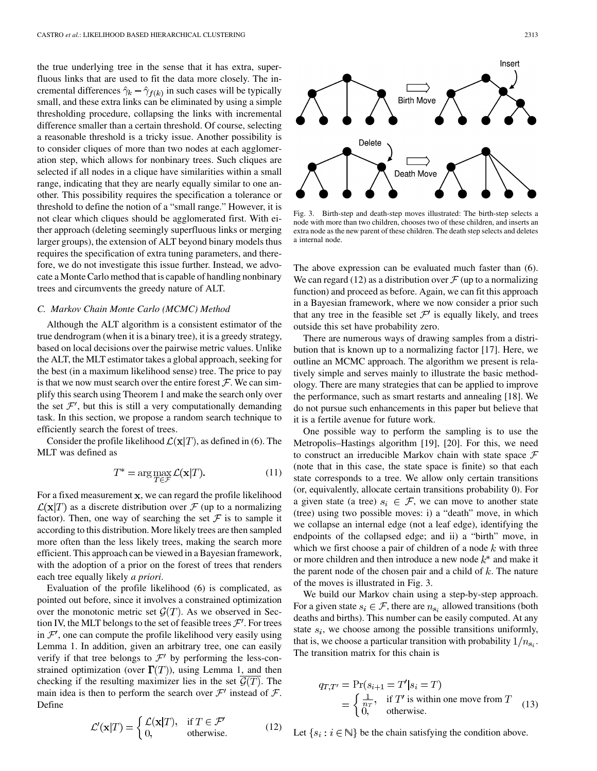the true underlying tree in the sense that it has extra, superfluous links that are used to fit the data more closely. The incremental differences  $\hat{\gamma}_k - \hat{\gamma}_{f(k)}$  in such cases will be typically small, and these extra links can be eliminated by using a simple thresholding procedure, collapsing the links with incremental difference smaller than a certain threshold. Of course, selecting a reasonable threshold is a tricky issue. Another possibility is to consider cliques of more than two nodes at each agglomeration step, which allows for nonbinary trees. Such cliques are selected if all nodes in a clique have similarities within a small range, indicating that they are nearly equally similar to one another. This possibility requires the specification a tolerance or threshold to define the notion of a "small range." However, it is not clear which cliques should be agglomerated first. With either approach (deleting seemingly superfluous links or merging larger groups), the extension of ALT beyond binary models thus requires the specification of extra tuning parameters, and therefore, we do not investigate this issue further. Instead, we advocate a Monte Carlo method that is capable of handling nonbinary trees and circumvents the greedy nature of ALT.

#### *C. Markov Chain Monte Carlo (MCMC) Method*

Although the ALT algorithm is a consistent estimator of the true dendrogram (when it is a binary tree), it is a greedy strategy, based on local decisions over the pairwise metric values. Unlike the ALT, the MLT estimator takes a global approach, seeking for the best (in a maximum likelihood sense) tree. The price to pay is that we now must search over the entire forest  $\mathcal{F}$ . We can simplify this search using Theorem 1 and make the search only over the set  $\mathcal{F}'$ , but this is still a very computationally demanding task. In this section, we propose a random search technique to efficiently search the forest of trees.

Consider the profile likelihood  $\mathcal{L}(\mathbf{x}|T)$ , as defined in (6). The MLT was defined as

$$
T^* = \arg\max_{T \in \mathcal{F}} \mathcal{L}(\mathbf{x}|T). \tag{11}
$$

For a fixed measurement  $x$ , we can regard the profile likelihood  $\mathcal{L}(\mathbf{x}|T)$  as a discrete distribution over  $\mathcal{F}$  (up to a normalizing factor). Then, one way of searching the set  $\mathcal F$  is to sample it according to this distribution. More likely trees are then sampled more often than the less likely trees, making the search more efficient. This approach can be viewed in a Bayesian framework, with the adoption of a prior on the forest of trees that renders each tree equally likely *a priori*.

Evaluation of the profile likelihood (6) is complicated, as pointed out before, since it involves a constrained optimization over the monotonic metric set  $\mathcal{G}(T)$ . As we observed in Section IV, the MLT belongs to the set of feasible trees  $\mathcal{F}'$ . For trees in  $\mathcal{F}'$ , one can compute the profile likelihood very easily using Lemma 1. In addition, given an arbitrary tree, one can easily verify if that tree belongs to  $\mathcal{F}'$  by performing the less-constrained optimization (over  $\mathbf{\Gamma}(T)$ ), using Lemma 1, and then checking if the resulting maximizer lies in the set  $\overline{G(T)}$ . The main idea is then to perform the search over  $\mathcal{F}'$  instead of  $\mathcal{F}$ . Define

$$
\mathcal{L}'(\mathbf{x}|T) = \begin{cases} \mathcal{L}(\mathbf{x}|T), & \text{if } T \in \mathcal{F}' \\ 0, & \text{otherwise.} \end{cases}
$$
 (12)



Fig. 3. Birth-step and death-step moves illustrated: The birth-step selects a node with more than two children, chooses two of these children, and inserts an extra node as the new parent of these children. The death step selects and deletes a internal node.

The above expression can be evaluated much faster than (6). We can regard (12) as a distribution over  $\mathcal F$  (up to a normalizing function) and proceed as before. Again, we can fit this approach in a Bayesian framework, where we now consider a prior such that any tree in the feasible set  $\mathcal{F}'$  is equally likely, and trees outside this set have probability zero.

There are numerous ways of drawing samples from a distribution that is known up to a normalizing factor [\[17](#page-12-0)]. Here, we outline an MCMC approach. The algorithm we present is relatively simple and serves mainly to illustrate the basic methodology. There are many strategies that can be applied to improve the performance, such as smart restarts and annealing [[18\]](#page-12-0). We do not pursue such enhancements in this paper but believe that it is a fertile avenue for future work.

One possible way to perform the sampling is to use the Metropolis–Hastings algorithm [\[19](#page-12-0)], [[20\]](#page-13-0). For this, we need to construct an irreducible Markov chain with state space  $\mathcal F$ (note that in this case, the state space is finite) so that each state corresponds to a tree. We allow only certain transitions (or, equivalently, allocate certain transitions probability 0). For a given state (a tree)  $s_i \in \mathcal{F}$ , we can move to another state (tree) using two possible moves: i) a "death" move, in which we collapse an internal edge (not a leaf edge), identifying the endpoints of the collapsed edge; and ii) a "birth" move, in which we first choose a pair of children of a node  $k$  with three or more children and then introduce a new node  $k^*$  and make it the parent node of the chosen pair and a child of  $k$ . The nature of the moves is illustrated in Fig. 3.

We build our Markov chain using a step-by-step approach. For a given state  $s_i \in \mathcal{F}$ , there are  $n_{s_i}$  allowed transitions (both deaths and births). This number can be easily computed. At any state  $s_i$ , we choose among the possible transitions uniformly, that is, we choose a particular transition with probability  $1/n_{s_i}$ . The transition matrix for this chain is

$$
q_{T,T'} = \Pr(s_{i+1} = T'|s_i = T)
$$
  
= 
$$
\begin{cases} \frac{1}{n_T}, & \text{if } T' \text{ is within one move from } T \\ 0, & \text{otherwise.} \end{cases}
$$
 (13)

Let  $\{s_i : i \in \mathbb{N}\}\$  be the chain satisfying the condition above.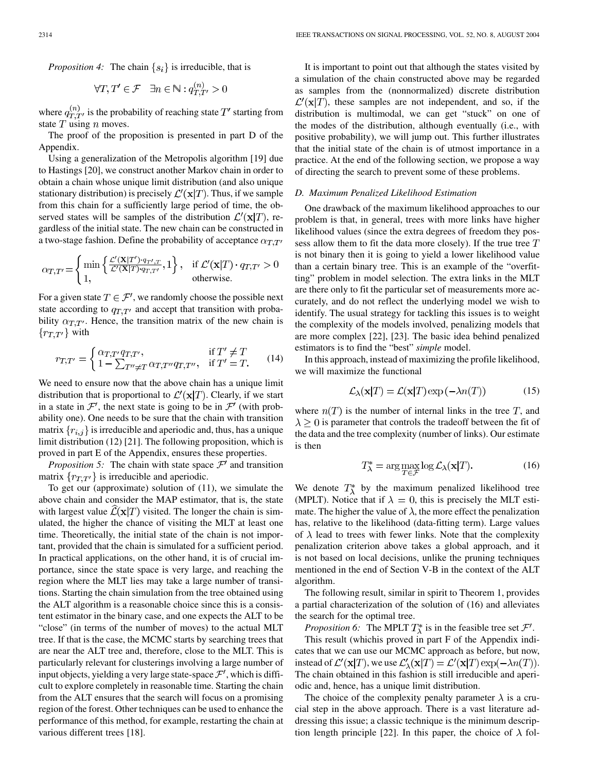*Proposition 4:* The chain  $\{s_i\}$  is irreducible, that is

$$
\forall T, T' \in \mathcal{F} \quad \exists n \in \mathbb{N} : q_{T,T'}^{(n)} > 0
$$

where  $q_{T,T^{\prime}}^{(n)}$  is the probability of reaching state  $T^{\prime}$  starting from state  $T$  using  $n$  moves.

The proof of the proposition is presented in part D of the Appendix.

Using a generalization of the Metropolis algorithm [\[19](#page-12-0)] due to Hastings [[20\]](#page-13-0), we construct another Markov chain in order to obtain a chain whose unique limit distribution (and also unique stationary distribution) is precisely  $\mathcal{L}'(\mathbf{x}|T)$ . Thus, if we sample from this chain for a sufficiently large period of time, the observed states will be samples of the distribution  $\mathcal{L}'(\mathbf{x}|T)$ , regardless of the initial state. The new chain can be constructed in a two-stage fashion. Define the probability of acceptance  $\alpha_{T,T}$ 

$$
\alpha_{T,T'} = \begin{cases} \min \left\{ \frac{\mathcal{L}'(\mathbf{X}|T') \cdot q_{T',T}}{\mathcal{L}'(\mathbf{X}|T) \cdot q_{T,T'}}, 1 \right\}, & \text{if } \mathcal{L}'(\mathbf{x}|T) \cdot q_{T,T'} > 0 \\ 1, & \text{otherwise.} \end{cases}
$$

For a given state  $T \in \mathcal{F}'$ , we randomly choose the possible next state according to  $q_{T,T'}$  and accept that transition with probability  $\alpha_{T,T'}$ . Hence, the transition matrix of the new chain is  $\{r_{T,T'}\}$  with

$$
r_{T,T'} = \begin{cases} \alpha_{T,T'} q_{T,T'}, & \text{if } T' \neq T \\ 1 - \sum_{T'' \neq T} \alpha_{T,T''} q_{T,T''}, & \text{if } T' = T. \end{cases}
$$
(14)

We need to ensure now that the above chain has a unique limit distribution that is proportional to  $\mathcal{L}'(\mathbf{x}|T)$ . Clearly, if we start in a state in  $\mathcal{F}'$ , the next state is going to be in  $\mathcal{F}'$  (with probability one). One needs to be sure that the chain with transition matrix  $\{r_{i,j}\}\$ is irreducible and aperiodic and, thus, has a unique limit distribution (12) [[21\]](#page-13-0). The following proposition, which is proved in part E of the Appendix, ensures these properties.

*Proposition 5:* The chain with state space  $\mathcal{F}'$  and transition matrix  $\{r_{T,T'}\}$  is irreducible and aperiodic.

To get our (approximate) solution of (11), we simulate the above chain and consider the MAP estimator, that is, the state with largest value  $\mathcal{L}(\mathbf{x}|T)$  visited. The longer the chain is simulated, the higher the chance of visiting the MLT at least one time. Theoretically, the initial state of the chain is not important, provided that the chain is simulated for a sufficient period. In practical applications, on the other hand, it is of crucial importance, since the state space is very large, and reaching the region where the MLT lies may take a large number of transitions. Starting the chain simulation from the tree obtained using the ALT algorithm is a reasonable choice since this is a consistent estimator in the binary case, and one expects the ALT to be "close" (in terms of the number of moves) to the actual MLT tree. If that is the case, the MCMC starts by searching trees that are near the ALT tree and, therefore, close to the MLT. This is particularly relevant for clusterings involving a large number of input objects, yielding a very large state-space  $\mathcal{F}'$ , which is difficult to explore completely in reasonable time. Starting the chain from the ALT ensures that the search will focus on a promising region of the forest. Other techniques can be used to enhance the performance of this method, for example, restarting the chain at various different trees [\[18](#page-12-0)].

It is important to point out that although the states visited by a simulation of the chain constructed above may be regarded as samples from the (nonnormalized) discrete distribution  $\mathcal{L}'(\mathbf{x}|T)$ , these samples are not independent, and so, if the distribution is multimodal, we can get "stuck" on one of the modes of the distribution, although eventually (i.e., with positive probability), we will jump out. This further illustrates that the initial state of the chain is of utmost importance in a practice. At the end of the following section, we propose a way of directing the search to prevent some of these problems.

#### *D. Maximum Penalized Likelihood Estimation*

One drawback of the maximum likelihood approaches to our problem is that, in general, trees with more links have higher likelihood values (since the extra degrees of freedom they possess allow them to fit the data more closely). If the true tree  $T$ is not binary then it is going to yield a lower likelihood value than a certain binary tree. This is an example of the "overfitting" problem in model selection. The extra links in the MLT are there only to fit the particular set of measurements more accurately, and do not reflect the underlying model we wish to identify. The usual strategy for tackling this issues is to weight the complexity of the models involved, penalizing models that are more complex [\[22](#page-13-0)], [\[23](#page-13-0)]. The basic idea behind penalized estimators is to find the "best" *simple* model.

In this approach, instead of maximizing the profile likelihood, we will maximize the functional

$$
\mathcal{L}_{\lambda}(\mathbf{x}|T) = \mathcal{L}(\mathbf{x}|T) \exp(-\lambda n(T))
$$
 (15)

where  $n(T)$  is the number of internal links in the tree T, and  $\lambda \geq 0$  is parameter that controls the tradeoff between the fit of the data and the tree complexity (number of links). Our estimate is then

$$
T_{\lambda}^* = \arg \max_{T \in \mathcal{F}} \log \mathcal{L}_{\lambda}(\mathbf{x}|T). \tag{16}
$$

We denote  $T_{\lambda}^{*}$  by the maximum penalized likelihood tree (MPLT). Notice that if  $\lambda = 0$ , this is precisely the MLT estimate. The higher the value of  $\lambda$ , the more effect the penalization has, relative to the likelihood (data-fitting term). Large values of  $\lambda$  lead to trees with fewer links. Note that the complexity penalization criterion above takes a global approach, and it is not based on local decisions, unlike the pruning techniques mentioned in the end of Section V-B in the context of the ALT algorithm.

The following result, similar in spirit to Theorem 1, provides a partial characterization of the solution of (16) and alleviates the search for the optimal tree.

*Proposition 6:* The MPLT  $T_{\lambda}^{*}$  is in the feasible tree set  $\mathcal{F}'$ .

This result (whichis proved in part F of the Appendix indicates that we can use our MCMC approach as before, but now, instead of  $\mathcal{L}'(\mathbf{x}|T)$ , we use  $\mathcal{L}'_{\lambda}(\mathbf{x}|T) = \mathcal{L}'(\mathbf{x}|T) \exp(-\lambda n(T)).$ The chain obtained in this fashion is still irreducible and aperiodic and, hence, has a unique limit distribution.

The choice of the complexity penalty parameter  $\lambda$  is a crucial step in the above approach. There is a vast literature addressing this issue; a classic technique is the minimum descrip-tion length principle [\[22](#page-13-0)]. In this paper, the choice of  $\lambda$  fol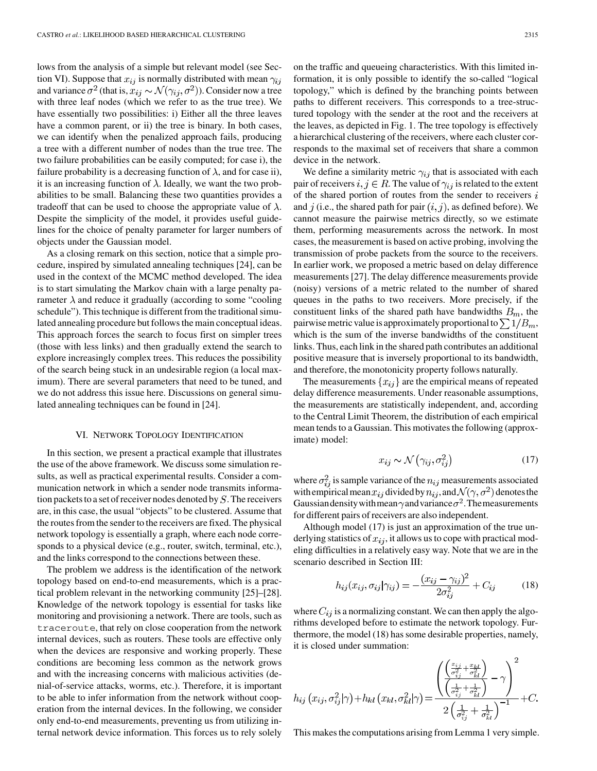lows from the analysis of a simple but relevant model (see Section VI). Suppose that  $x_{ij}$  is normally distributed with mean  $\gamma_{ij}$ and variance  $\sigma^2$  (that is,  $x_{ij} \sim \mathcal{N}(\gamma_{ij}, \sigma^2)$ ). Consider now a tree with three leaf nodes (which we refer to as the true tree). We have essentially two possibilities: i) Either all the three leaves have a common parent, or ii) the tree is binary. In both cases, we can identify when the penalized approach fails, producing a tree with a different number of nodes than the true tree. The two failure probabilities can be easily computed; for case i), the failure probability is a decreasing function of  $\lambda$ , and for case ii), it is an increasing function of  $\lambda$ . Ideally, we want the two probabilities to be small. Balancing these two quantities provides a tradeoff that can be used to choose the appropriate value of  $\lambda$ . Despite the simplicity of the model, it provides useful guidelines for the choice of penalty parameter for larger numbers of objects under the Gaussian model.

As a closing remark on this section, notice that a simple procedure, inspired by simulated annealing techniques [[24\]](#page-13-0), can be used in the context of the MCMC method developed. The idea is to start simulating the Markov chain with a large penalty parameter  $\lambda$  and reduce it gradually (according to some "cooling") schedule"). This technique is different from the traditional simulated annealing procedure but follows the main conceptual ideas. This approach forces the search to focus first on simpler trees (those with less links) and then gradually extend the search to explore increasingly complex trees. This reduces the possibility of the search being stuck in an undesirable region (a local maximum). There are several parameters that need to be tuned, and we do not address this issue here. Discussions on general simulated annealing techniques can be found in [\[24](#page-13-0)].

#### VI. NETWORK TOPOLOGY IDENTIFICATION

In this section, we present a practical example that illustrates the use of the above framework. We discuss some simulation results, as well as practical experimental results. Consider a communication network in which a sender node transmits information packets to a set of receiver nodes denoted by  $S$ . The receivers are, in this case, the usual "objects" to be clustered. Assume that the routes from the sender to the receivers are fixed. The physical network topology is essentially a graph, where each node corresponds to a physical device (e.g., router, switch, terminal, etc.), and the links correspond to the connections between these.

The problem we address is the identification of the network topology based on end-to-end measurements, which is a practical problem relevant in the networking community [[25\]](#page-13-0)–[\[28](#page-13-0)]. Knowledge of the network topology is essential for tasks like monitoring and provisioning a network. There are tools, such as traceroute, that rely on close cooperation from the network internal devices, such as routers. These tools are effective only when the devices are responsive and working properly. These conditions are becoming less common as the network grows and with the increasing concerns with malicious activities (denial-of-service attacks, worms, etc.). Therefore, it is important to be able to infer information from the network without cooperation from the internal devices. In the following, we consider only end-to-end measurements, preventing us from utilizing internal network device information. This forces us to rely solely on the traffic and queueing characteristics. With this limited information, it is only possible to identify the so-called "logical topology," which is defined by the branching points between paths to different receivers. This corresponds to a tree-structured topology with the sender at the root and the receivers at the leaves, as depicted in Fig. 1. The tree topology is effectively a hierarchical clustering of the receivers, where each cluster corresponds to the maximal set of receivers that share a common device in the network.

We define a similarity metric  $\gamma_{ij}$  that is associated with each pair of receivers  $i, j \in R$ . The value of  $\gamma_{ij}$  is related to the extent of the shared portion of routes from the sender to receivers  $i$ and  $j$  (i.e., the shared path for pair  $(i, j)$ , as defined before). We cannot measure the pairwise metrics directly, so we estimate them, performing measurements across the network. In most cases, the measurement is based on active probing, involving the transmission of probe packets from the source to the receivers. In earlier work, we proposed a metric based on delay difference measurements [\[27](#page-13-0)]. The delay difference measurements provide (noisy) versions of a metric related to the number of shared queues in the paths to two receivers. More precisely, if the constituent links of the shared path have bandwidths  $B<sub>m</sub>$ , the pairwise metric value is approximately proportional to  $\sum 1/B_m$ , which is the sum of the inverse bandwidths of the constituent links. Thus, each link in the shared path contributes an additional positive measure that is inversely proportional to its bandwidth, and therefore, the monotonicity property follows naturally.

The measurements  $\{x_{ij}\}\$ are the empirical means of repeated delay difference measurements. Under reasonable assumptions, the measurements are statistically independent, and, according to the Central Limit Theorem, the distribution of each empirical mean tends to a Gaussian. This motivates the following (approximate) model:

$$
x_{ij} \sim \mathcal{N}\left(\gamma_{ij}, \sigma_{ij}^2\right) \tag{17}
$$

where  $\sigma_{ij}^2$  is sample variance of the  $n_{ij}$  measurements associated with empirical mean  $x_{ij}$  divided by  $n_{ij}$ , and  $\mathcal{N}(\gamma, \sigma^2)$  denotes the Gaussian density with mean  $\gamma$  and variance  $\sigma^2$ . The measurements for different pairs of receivers are also independent.

Although model (17) is just an approximation of the true underlying statistics of  $x_{ij}$ , it allows us to cope with practical modeling difficulties in a relatively easy way. Note that we are in the scenario described in Section III:

$$
h_{ij}(x_{ij}, \sigma_{ij}|\gamma_{ij}) = -\frac{(x_{ij} - \gamma_{ij})^2}{2\sigma_{ij}^2} + C_{ij} \tag{18}
$$

where  $C_{ij}$  is a normalizing constant. We can then apply the algorithms developed before to estimate the network topology. Furthermore, the model (18) has some desirable properties, namely, it is closed under summation:

$$
h_{ij}\left(x_{ij},\sigma_{ij}^2|\gamma\right)+h_{kl}\left(x_{kl},\sigma_{kl}^2|\gamma\right)=\frac{\left(\frac{\left(\frac{x_{ij}}{\sigma_{ij}^2}+\frac{x_{kl}}{\sigma_{kl}^2}\right)}{\left(\frac{1}{\sigma_{ij}^2}+\frac{1}{\sigma_{kl}^2}\right)}-\gamma\right)^2}{2\left(\frac{1}{\sigma_{ij}^2}+\frac{1}{\sigma_{kl}^2}\right)^{-1}}+C.
$$

This makes the computations arising from Lemma 1 very simple.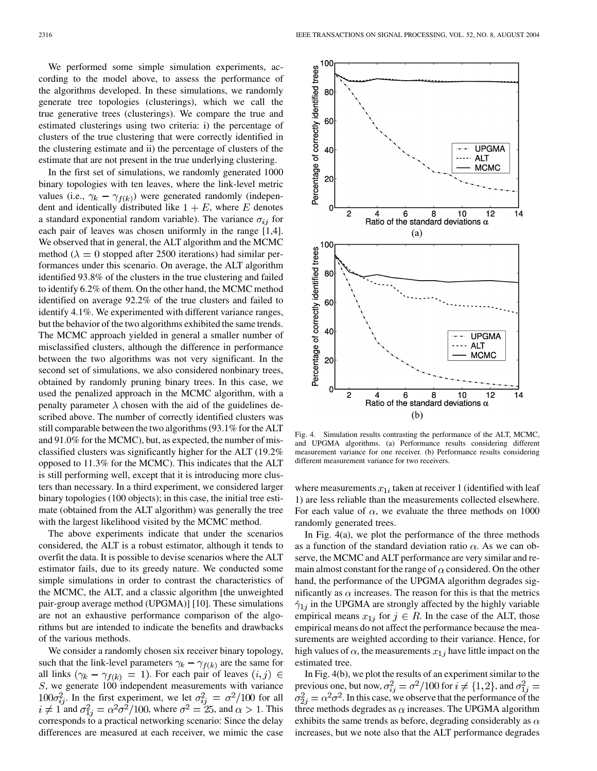We performed some simple simulation experiments, according to the model above, to assess the performance of the algorithms developed. In these simulations, we randomly generate tree topologies (clusterings), which we call the true generative trees (clusterings). We compare the true and estimated clusterings using two criteria: i) the percentage of clusters of the true clustering that were correctly identified in the clustering estimate and ii) the percentage of clusters of the estimate that are not present in the true underlying clustering.

In the first set of simulations, we randomly generated 1000 binary topologies with ten leaves, where the link-level metric values (i.e.,  $\gamma_k - \gamma_{f(k)}$ ) were generated randomly (independent and identically distributed like  $1 + E$ , where E denotes a standard exponential random variable). The variance  $\sigma_{ij}$  for each pair of leaves was chosen uniformly in the range [1,4]. We observed that in general, the ALT algorithm and the MCMC method ( $\lambda = 0$  stopped after 2500 iterations) had similar performances under this scenario. On average, the ALT algorithm identified 93.8% of the clusters in the true clustering and failed to identify 6.2% of them. On the other hand, the MCMC method identified on average 92.2% of the true clusters and failed to identify 4.1%. We experimented with different variance ranges, but the behavior of the two algorithms exhibited the same trends. The MCMC approach yielded in general a smaller number of misclassified clusters, although the difference in performance between the two algorithms was not very significant. In the second set of simulations, we also considered nonbinary trees, obtained by randomly pruning binary trees. In this case, we used the penalized approach in the MCMC algorithm, with a penalty parameter  $\lambda$  chosen with the aid of the guidelines described above. The number of correctly identified clusters was still comparable between the two algorithms (93.1% for the ALT and 91.0% for the MCMC), but, as expected, the number of misclassified clusters was significantly higher for the ALT (19.2% opposed to 11.3% for the MCMC). This indicates that the ALT is still performing well, except that it is introducing more clusters than necessary. In a third experiment, we considered larger binary topologies (100 objects); in this case, the initial tree estimate (obtained from the ALT algorithm) was generally the tree with the largest likelihood visited by the MCMC method.

The above experiments indicate that under the scenarios considered, the ALT is a robust estimator, although it tends to overfit the data. It is possible to devise scenarios where the ALT estimator fails, due to its greedy nature. We conducted some simple simulations in order to contrast the characteristics of the MCMC, the ALT, and a classic algorithm [the unweighted pair-group average method (UPGMA)] [[10\]](#page-12-0). These simulations are not an exhaustive performance comparison of the algorithms but are intended to indicate the benefits and drawbacks of the various methods.

We consider a randomly chosen six receiver binary topology, such that the link-level parameters  $\gamma_k - \gamma_{f(k)}$  are the same for all links  $(\gamma_k - \gamma_{f(k)} = 1)$ . For each pair of leaves  $(i, j) \in$ , we generate 100 independent measurements with variance . In the first experiment, we let  $\sigma_{ii}^2 = \sigma^2/100$  for all and  $\sigma_{1i}^2 = \alpha^2 \sigma^2 / 100$ , where  $\sigma^2 = 25$ , and  $\alpha > 1$ . This corresponds to a practical networking scenario: Since the delay differences are measured at each receiver, we mimic the case



Fig. 4. Simulation results contrasting the performance of the ALT, MCMC, and UPGMA algorithms. (a) Performance results considering different measurement variance for one receiver. (b) Performance results considering different measurement variance for two receivers.

where measurements  $x_{1i}$  taken at receiver 1 (identified with leaf 1) are less reliable than the measurements collected elsewhere. For each value of  $\alpha$ , we evaluate the three methods on 1000 randomly generated trees.

In Fig.  $4(a)$ , we plot the performance of the three methods as a function of the standard deviation ratio  $\alpha$ . As we can observe, the MCMC and ALT performance are very similar and remain almost constant for the range of  $\alpha$  considered. On the other hand, the performance of the UPGMA algorithm degrades significantly as  $\alpha$  increases. The reason for this is that the metrics  $\hat{\gamma}_{1i}$  in the UPGMA are strongly affected by the highly variable empirical means  $x_{1i}$  for  $j \in R$ . In the case of the ALT, those empirical means do not affect the performance because the measurements are weighted according to their variance. Hence, for high values of  $\alpha$ , the measurements  $x_{1j}$  have little impact on the estimated tree.

In Fig. 4(b), we plot the results of an experiment similar to the previous one, but now,  $\sigma_{ii}^2 = \sigma^2/100$  for  $i \neq \{1,2\}$ , and . In this case, we observe that the performance of the three methods degrades as  $\alpha$  increases. The UPGMA algorithm exhibits the same trends as before, degrading considerably as  $\alpha$ increases, but we note also that the ALT performance degrades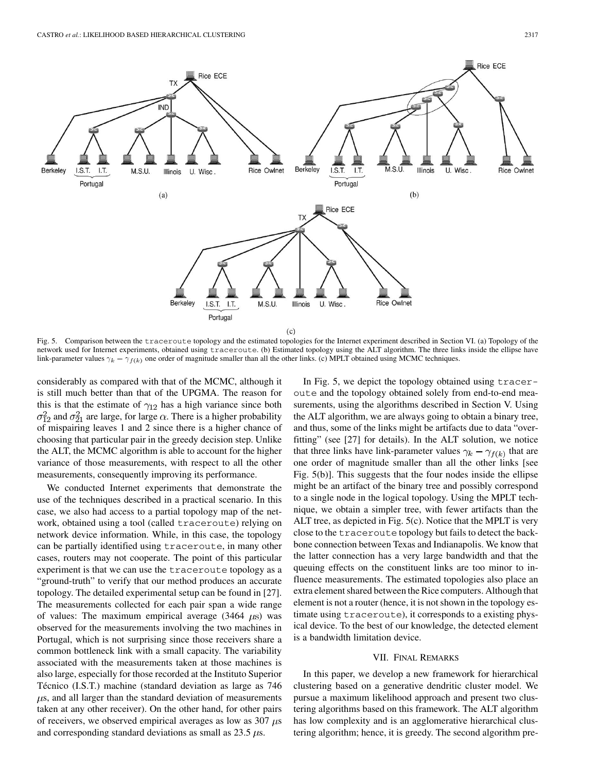

Fig. 5. Comparison between the traceroute topology and the estimated topologies for the Internet experiment described in Section VI. (a) Topology of the network used for Internet experiments, obtained using traceroute. (b) Estimated topology using the ALT algorithm. The three links inside the ellipse have Fig. 5. Comparison between the  $\text{traceroute}$  topology and the estimated topologies for the Internet experiment described in Section network used for Internet experiments, obtained using  $\text{traceroute.}$  (b) Estimated topology usi

considerably as compared with that of the MCMC, although it is still much better than that of the UPGMA. The reason for this is that the estimate of  $\gamma_{12}$  has a high variance since both  $\sigma_{12}^2$  and  $\sigma_{21}^2$  are large, for large  $\alpha$ . There is a higher probability of mispairing leaves 1 and 2 since there is a higher chance of choosing that particular pair in the greedy decision step. Unlike the ALT, the MCMC algorithm is able to account for the higher variance of those measurements, with respect to all the other measurements, consequently improving its performance.

We conducted Internet experiments that demonstrate the use of the techniques described in a practical scenario. In this case, we also had access to a partial topology map of the network, obtained using a tool (called traceroute) relying on network device information. While, in this case, the topology can be partially identified using traceroute, in many other cases, routers may not cooperate. The point of this particular experiment is that we can use the traceroute topology as a "ground-truth" to verify that our method produces an accurate topology. The detailed experimental setup can be found in [\[27](#page-13-0)]. The measurements collected for each pair span a wide range of values: The maximum empirical average  $(3464 \mu s)$  was observed for the measurements involving the two machines in Portugal, which is not surprising since those receivers share a common bottleneck link with a small capacity. The variability associated with the measurements taken at those machines is also large, especially for those recorded at the Instituto Superior Técnico (I.S.T.) machine (standard deviation as large as 746  $\mu$ s, and all larger than the standard deviation of measurements taken at any other receiver). On the other hand, for other pairs of receivers, we observed empirical averages as low as  $307 \mu s$ and corresponding standard deviations as small as  $23.5 \mu s$ .

In Fig. 5, we depict the topology obtained using traceroute and the topology obtained solely from end-to-end measurements, using the algorithms described in Section V. Using the ALT algorithm, we are always going to obtain a binary tree, and thus, some of the links might be artifacts due to data "overfitting" (see [\[27](#page-13-0)] for details). In the ALT solution, we notice that three links have link-parameter values  $\gamma_k - \gamma_{f(k)}$  that are one order of magnitude smaller than all the other links [see Fig. 5(b)]. This suggests that the four nodes inside the ellipse might be an artifact of the binary tree and possibly correspond to a single node in the logical topology. Using the MPLT technique, we obtain a simpler tree, with fewer artifacts than the ALT tree, as depicted in Fig. 5(c). Notice that the MPLT is very close to the traceroute topology but fails to detect the backbone connection between Texas and Indianapolis. We know that the latter connection has a very large bandwidth and that the queuing effects on the constituent links are too minor to influence measurements. The estimated topologies also place an extra element shared between the Rice computers. Although that element is not a router (hence, it is not shown in the topology estimate using traceroute), it corresponds to a existing physical device. To the best of our knowledge, the detected element is a bandwidth limitation device.

#### VII. FINAL REMARKS

In this paper, we develop a new framework for hierarchical clustering based on a generative dendritic cluster model. We pursue a maximum likelihood approach and present two clustering algorithms based on this framework. The ALT algorithm has low complexity and is an agglomerative hierarchical clustering algorithm; hence, it is greedy. The second algorithm pre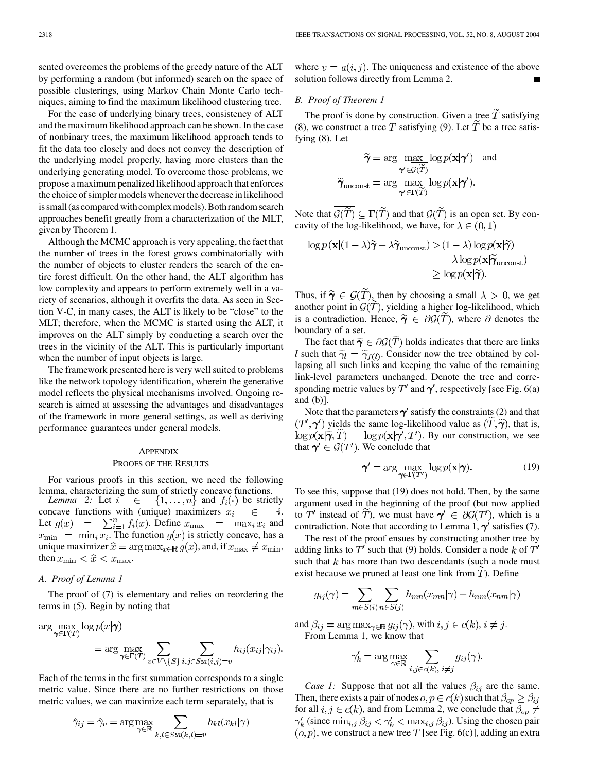sented overcomes the problems of the greedy nature of the ALT by performing a random (but informed) search on the space of possible clusterings, using Markov Chain Monte Carlo techniques, aiming to find the maximum likelihood clustering tree.

For the case of underlying binary trees, consistency of ALT and the maximum likelihood approach can be shown. In the case of nonbinary trees, the maximum likelihood approach tends to fit the data too closely and does not convey the description of the underlying model properly, having more clusters than the underlying generating model. To overcome those problems, we propose a maximum penalized likelihood approach that enforces the choice of simpler models whenever the decrease in likelihood is small (as compared with complex models). Both random search approaches benefit greatly from a characterization of the MLT, given by Theorem 1.

Although the MCMC approach is very appealing, the fact that the number of trees in the forest grows combinatorially with the number of objects to cluster renders the search of the entire forest difficult. On the other hand, the ALT algorithm has low complexity and appears to perform extremely well in a variety of scenarios, although it overfits the data. As seen in Section V-C, in many cases, the ALT is likely to be "close" to the MLT; therefore, when the MCMC is started using the ALT, it improves on the ALT simply by conducting a search over the trees in the vicinity of the ALT. This is particularly important when the number of input objects is large.

The framework presented here is very well suited to problems like the network topology identification, wherein the generative model reflects the physical mechanisms involved. Ongoing research is aimed at assessing the advantages and disadvantages of the framework in more general settings, as well as deriving performance guarantees under general models.

# APPENDIX PROOFS OF THE RESULTS

For various proofs in this section, we need the following lemma, characterizing the sum of strictly concave functions.<br>*Lemma* 2: Let  $i \in \{1, ..., n\}$  and  $f_i(\cdot)$  be strict

 $\in$  {1,...,*n*} and *f<sub>i</sub>*(·) be strictly concave functions with (unique) maximizers  $x_i \in \mathbb{R}$ . Let  $g(x) = \sum_{i=1}^{n} f_i(x)$ . Define  $x_{\text{max}} = \max_i x_i$  and  $x_{\min}$  =  $\min_i x_i$ . The function  $g(x)$  is strictly concave, has a unique maximizer  $\hat{x} = \arg \max_{x \in \mathbb{R}} g(x)$ , and, if  $x_{\max} \neq x_{\min}$ , then  $x_{\min} < \hat{x} < x_{\max}$ .

# *A. Proof of Lemma 1*

The proof of (7) is elementary and relies on reordering the terms in (5). Begin by noting that

$$
\arg \max_{\gamma \in \Gamma(T)} \log p(x|\gamma) = \arg \max_{\gamma \in \Gamma(T)} \sum_{v \in V \setminus \{S\}} \sum_{i,j \in S: a(i,j) = v} h_{ij}(x_{ij}|\gamma_{ij}).
$$

Each of the terms in the first summation corresponds to a single metric value. Since there are no further restrictions on those metric values, we can maximize each term separately, that is

$$
\hat{\gamma}_{ij} = \hat{\gamma}_v = \arg\max_{\gamma \in \mathbb{R}} \sum_{k,l \in S: a(k,l) = v} h_{kl}(x_{kl}|\gamma)
$$

where  $v = a(i, j)$ . The uniqueness and existence of the above solution follows directly from Lemma 2.

#### *B. Proof of Theorem 1*

The proof is done by construction. Given a tree  $\widetilde{T}$  satisfying (8), we construct a tree T satisfying (9). Let  $\tilde{T}$  be a tree satisfying (8). Let

$$
\widetilde{\boldsymbol{\gamma}} = \arg \max_{\boldsymbol{\gamma}' \in \mathcal{G}(\widetilde{\boldsymbol{\Upsilon}})} \log p(\mathbf{x}|\boldsymbol{\gamma}') \quad \text{and}
$$

$$
\widetilde{\boldsymbol{\gamma}}_{\text{unconst}} = \arg \max_{\boldsymbol{\gamma}' \in \Gamma(\widetilde{\boldsymbol{\Upsilon}})} \log p(\mathbf{x}|\boldsymbol{\gamma}').
$$

Note that  $\mathcal{G}(\tilde{T}) \subseteq \Gamma(\tilde{T})$  and that  $\mathcal{G}(\tilde{T})$  is an open set. By concavity of the log-likelihood, we have, for  $\lambda \in (0,1)$ 

$$
\log p(\mathbf{x}|(1-\lambda)\widetilde{\boldsymbol{\gamma}} + \lambda \widetilde{\boldsymbol{\gamma}}_{\text{unconst}}) > (1-\lambda)\log p(\mathbf{x}|\widetilde{\boldsymbol{\gamma}}) + \lambda \log p(\mathbf{x}|\widetilde{\boldsymbol{\gamma}}_{\text{unconst}}) \geq \log p(\mathbf{x}|\widetilde{\boldsymbol{\gamma}}).
$$

Thus, if  $\widetilde{\gamma} \in \mathcal{G}(\widetilde{T})$ , then by choosing a small  $\lambda > 0$ , we get another point in  $G(\tilde{T})$ , yielding a higher log-likelihood, which is a contradiction. Hence,  $\widetilde{\gamma} \in \partial \mathcal{G}(T)$ , where  $\partial$  denotes the boundary of a set.

The fact that  $\widetilde{\gamma} \in \partial \mathcal{G}(\widetilde{T})$  holds indicates that there are links l such that  $\tilde{\gamma}_l = \tilde{\gamma}_{f(l)}$ . Consider now the tree obtained by collapsing all such links and keeping the value of the remaining link-level parameters unchanged. Denote the tree and corresponding metric values by  $T'$  and  $\gamma'$ , respectively [see Fig. 6(a) and (b)].

Note that the parameters  $\gamma'$  satisfy the constraints (2) and that  $(T', \gamma')$  yields the same log-likelihood value as  $(T, \widetilde{\gamma})$ , that is,  $\log p(\mathbf{x}|\tilde{\boldsymbol{\gamma}}, \tilde{T}) = \log p(\mathbf{x}|\boldsymbol{\gamma}', T')$ . By our construction, we see that  $\gamma' \in \mathcal{G}(T')$ . We conclude that

$$
\boldsymbol{\gamma}' = \arg \max_{\boldsymbol{\gamma} \in \mathbf{\Gamma}(T')} \log p(\mathbf{x}|\boldsymbol{\gamma}).
$$
 (19)

To see this, suppose that (19) does not hold. Then, by the same argument used in the beginning of the proof (but now applied to T' instead of  $\widetilde{T}$ ), we must have  $\gamma' \in \partial \mathcal{G}(T')$ , which is a contradiction. Note that according to Lemma 1,  $\gamma'$  satisfies (7).

The rest of the proof ensues by constructing another tree by adding links to T' such that (9) holds. Consider a node k of  $T'$ such that  $k$  has more than two descendants (such a node must exist because we pruned at least one link from  $T$ ). Define

$$
g_{ij}(\gamma) = \sum_{m \in S(i)} \sum_{n \in S(j)} h_{mn}(x_{mn}|\gamma) + h_{nm}(x_{nm}|\gamma)
$$

and  $\beta_{ij} = \arg \max_{\gamma \in \mathbb{R}} g_{ij}(\gamma)$ , with  $i, j \in c(k), i \neq j$ . From Lemma 1, we know that

$$
\gamma'_{k} = \arg \max_{\gamma \in \mathbb{R}} \sum_{i,j \in c(k), i \neq j} g_{ij}(\gamma).
$$

*Case 1:* Suppose that not all the values  $\beta_{ij}$  are the same. Then, there exists a pair of nodes  $o, p \in c(k)$  such that  $\beta_{op} \geq \beta_{ij}$ for all  $i, j \in c(k)$ , and from Lemma 2, we conclude that  $\beta_{op} \neq$  $\gamma'_k$  (since  $\min_{i,j} \beta_{ij} < \gamma'_k < \max_{i,j} \beta_{ij}$ ). Using the chosen pair  $(o, p)$ , we construct a new tree T [see Fig. 6(c)], adding an extra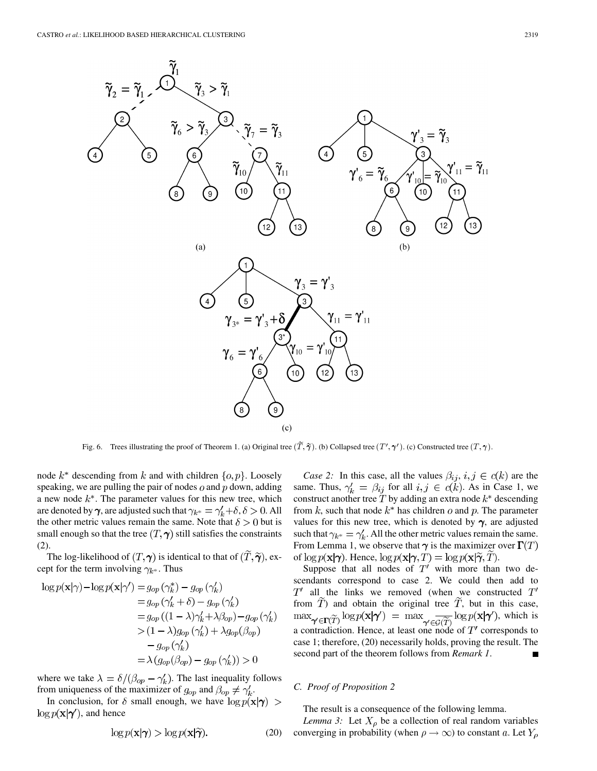

Fig. 6. Trees illustrating the proof of Theorem 1. (a) Original tree  $(\tilde{T}, \tilde{\gamma})$ . (b) Collapsed tree  $(T', \gamma')$ . (c) Constructed tree  $(T, \gamma)$ .

node  $k^*$  descending from k and with children  $\{o, p\}$ . Loosely speaking, we are pulling the pair of nodes  $o$  and  $p$  down, adding a new node  $k^*$ . The parameter values for this new tree, which are denoted by  $\gamma$ , are adjusted such that  $\gamma_{k^*} = \gamma'_k + \delta, \delta > 0$ . All the other metric values remain the same. Note that  $\delta > 0$  but is small enough so that the tree  $(T, \gamma)$  still satisfies the constraints (2).

The log-likelihood of  $(T, \gamma)$  is identical to that of  $(\tilde{T}, \tilde{\gamma})$ , except for the term involving  $\gamma_{k^*}$ . Thus

$$
\log p(\mathbf{x}|\gamma) - \log p(\mathbf{x}|\gamma') = g_{op}(\gamma_k^*) - g_{op}(\gamma_k')
$$
  
\n
$$
= g_{op}(\gamma_k' + \delta) - g_{op}(\gamma_k')
$$
  
\n
$$
= g_{op}((1 - \lambda)\gamma_k' + \lambda \beta_{op}) - g_{op}(\gamma_k')
$$
  
\n
$$
> (1 - \lambda)g_{op}(\gamma_k') + \lambda g_{op}(\beta_{op})
$$
  
\n
$$
- g_{op}(\gamma_k')
$$
  
\n
$$
= \lambda (g_{op}(\beta_{op}) - g_{op}(\gamma_k')) > 0
$$

where we take  $\lambda = \delta/(\beta_{op} - \gamma'_k)$ . The last inequality follows from uniqueness of the maximizer of  $g_{op}$  and  $\beta_{op} \neq \gamma'_{k}$ .

In conclusion, for  $\delta$  small enough, we have  $\log p(\mathbf{x}|\boldsymbol{\gamma})$  $\log p(\mathbf{x}|\boldsymbol{\gamma}')$ , and hence

$$
\log p(\mathbf{x}|\boldsymbol{\gamma}) > \log p(\mathbf{x}|\widetilde{\boldsymbol{\gamma}}). \tag{20}
$$

*Case 2:* In this case, all the values  $\beta_{ij}$ ,  $i, j \in c(k)$  are the same. Thus,  $\gamma'_k = \beta_{ij}$  for all  $i, j \in c(k)$ . As in Case 1, we construct another tree  $T$  by adding an extra node  $k^*$  descending from k, such that node  $k^*$  has children o and p. The parameter values for this new tree, which is denoted by  $\gamma$ , are adjusted such that  $\gamma_{k^*} = \gamma'_k$ . All the other metric values remain the same. From Lemma 1, we observe that  $\gamma$  is the maximizer over  $\Gamma(T)$ of  $\log p(\mathbf{x}|\boldsymbol{\gamma})$ . Hence,  $\log p(\mathbf{x}|\boldsymbol{\gamma},T) = \log p(\mathbf{x}|\tilde{\boldsymbol{\gamma}},T)$ .

Suppose that all nodes of  $T'$  with more than two descendants correspond to case 2. We could then add to  $T'$  all the links we removed (when we constructed  $T'$ from  $\widetilde{T}$ ) and obtain the original tree  $\widetilde{T}$ , but in this case,  $\max_{\gamma' \in \Gamma(\widetilde{T})} \log p(\mathbf{x} | \gamma') = \max_{\gamma' \in \widetilde{\mathcal{G}(\widetilde{T})}} \log p(\mathbf{x} | \gamma'),$  which is a contradiction. Hence, at least one node of  $T'$  corresponds to case 1; therefore, (20) necessarily holds, proving the result. The second part of the theorem follows from *Remark 1*.

## *C. Proof of Proposition 2*

The result is a consequence of the following lemma.

*Lemma 3:* Let  $X_{\rho}$  be a collection of real random variables converging in probability (when  $\rho \to \infty$ ) to constant a. Let  $Y_{\rho}$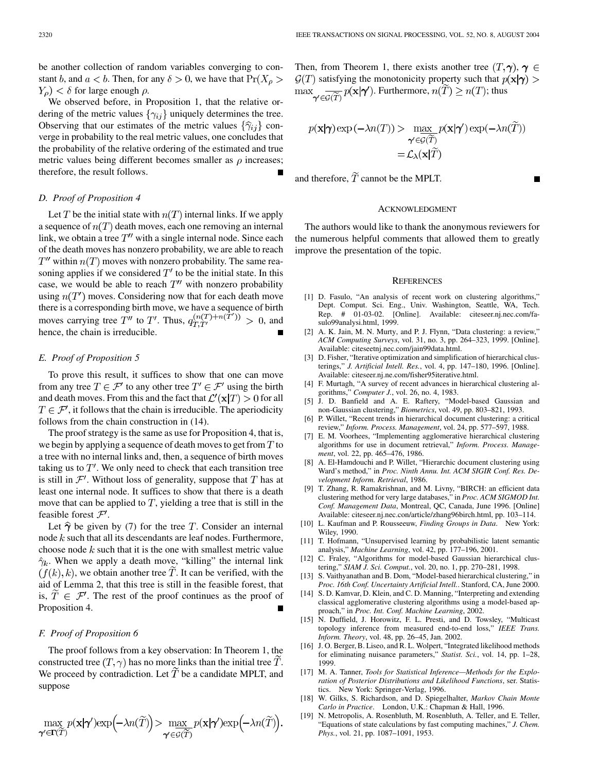<span id="page-12-0"></span>be another collection of random variables converging to constant b, and  $a < b$ . Then, for any  $\delta > 0$ , we have that  $Pr(X_{\rho} >$  $Y_{\rho}$  <  $\delta$  for large enough  $\rho$ .

We observed before, in Proposition 1, that the relative ordering of the metric values  $\{\gamma_{ij}\}$  uniquely determines the tree. Observing that our estimates of the metric values  $\{\hat{\gamma}_{ij}\}$  converge in probability to the real metric values, one concludes that the probability of the relative ordering of the estimated and true metric values being different becomes smaller as  $\rho$  increases; therefore, the result follows.

## *D. Proof of Proposition 4*

Let T be the initial state with  $n(T)$  internal links. If we apply a sequence of  $n(T)$  death moves, each one removing an internal link, we obtain a tree  $T''$  with a single internal node. Since each of the death moves has nonzero probability, we are able to reach  $T''$  within  $n(T)$  moves with nonzero probability. The same reasoning applies if we considered  $T'$  to be the initial state. In this case, we would be able to reach  $T''$  with nonzero probability using  $n(T')$  moves. Considering now that for each death move there is a corresponding birth move, we have a sequence of birth moves carrying tree  $T''$  to  $T'$ . Thus,  $q_{TT'}^{(n(T)+n(T'))} > 0$ , and hence, the chain is irreducible.

#### *E. Proof of Proposition 5*

To prove this result, it suffices to show that one can move from any tree  $T \in \mathcal{F}'$  to any other tree  $T' \in \mathcal{F}'$  using the birth and death moves. From this and the fact that  $\mathcal{L}'(\mathbf{x}|T) > 0$  for all  $T \in \mathcal{F}'$ , it follows that the chain is irreducible. The aperiodicity follows from the chain construction in (14).

The proof strategy is the same as use for Proposition 4, that is, we begin by applying a sequence of death moves to get from  $T$  to a tree with no internal links and, then, a sequence of birth moves taking us to  $T'$ . We only need to check that each transition tree is still in  $\mathcal{F}'$ . Without loss of generality, suppose that T has at least one internal node. It suffices to show that there is a death move that can be applied to  $T$ , yielding a tree that is still in the feasible forest  $\mathcal{F}'$ .

Let  $\hat{\gamma}$  be given by (7) for the tree T. Consider an internal node  $k$  such that all its descendants are leaf nodes. Furthermore, choose node  $k$  such that it is the one with smallest metric value  $\hat{\gamma}_k$ . When we apply a death move, "killing" the internal link  $(f(k), k)$ , we obtain another tree T. It can be verified, with the aid of Lemma 2, that this tree is still in the feasible forest, that is,  $T \in \mathcal{F}'$ . The rest of the proof continues as the proof of Proposition 4.

#### *F. Proof of Proposition 6*

The proof follows from a key observation: In Theorem 1, the constructed tree  $(T, \gamma)$  has no more links than the initial tree T. We proceed by contradiction. Let  $\tilde{T}$  be a candidate MPLT, and suppose

$$
\max_{\gamma' \in \Gamma(\widetilde{T})} p(\mathbf{x} | \gamma') \exp\left(-\lambda n(\widetilde{T})\right) > \max_{\gamma' \in \widetilde{\mathcal{G}(\widetilde{T})}} p(\mathbf{x} | \gamma') \exp\left(-\lambda n(\widetilde{T})\right).
$$

Then, from Theorem 1, there exists another tree  $(T, \gamma)$ ,  $\gamma \in$  $\mathcal{G}(T)$  satisfying the monotonicity property such that  $p(\mathbf{x}|\boldsymbol{\gamma})$  $\max_{\gamma' \in \overline{G(T)}} p(\mathbf{x} | \gamma')$ . Furthermore,  $n(\widetilde{T}) \geq n(T)$ ; thus

$$
p(\mathbf{x}|\boldsymbol{\gamma}) \exp(-\lambda n(T)) > \max_{\boldsymbol{\gamma}' \in \mathcal{G}(\widetilde{\boldsymbol{\gamma}})} p(\mathbf{x}|\boldsymbol{\gamma}') \exp(-\lambda n(\widetilde{\boldsymbol{T}}))
$$

$$
= \mathcal{L}_{\lambda}(\mathbf{x}|\widetilde{\boldsymbol{T}})
$$

and therefore,  $\widetilde{T}$  cannot be the MPLT.

#### ACKNOWLEDGMENT

The authors would like to thank the anonymous reviewers for the numerous helpful comments that allowed them to greatly improve the presentation of the topic.

#### **REFERENCES**

- [1] D. Fasulo, "An analysis of recent work on clustering algorithms," Dept. Comput. Sci. Eng., Univ. Washington, Seattle, WA, Tech. Rep. # 01-03-02. [Online]. Available: citeseer.nj.nec.com/fasulo99analysi.html, 1999.
- [2] A. K. Jain, M. N. Murty, and P. J. Flynn, "Data clustering: a review," *ACM Computing Surveys*, vol. 31, no. 3, pp. 264–323, 1999. [Online]. Available: citeseetnj.nec.com/jain99data.html.
- [3] D. Fisher, "Iterative optimization and simplification of hierarchical clusterings," *J. Artificial Intell. Res.*, vol. 4, pp. 147–180, 1996. [Online]. Available: citeseer.nj.ne.com/fisher95iterative.html.
- [4] F. Murtagh, "A survey of recent advances in hierarchical clustering algorithms," *Computer J.*, vol. 26, no. 4, 1983.
- [5] J. D. Banfield and A. E. Raftery, "Model-based Gaussian and non-Gaussian clustering," *Biometrics*, vol. 49, pp. 803–821, 1993.
- [6] P. Willet, "Recent trends in hierarchical document clustering: a critical review," *Inform. Process. Management*, vol. 24, pp. 577–597, 1988.
- [7] E. M. Voorhees, "Implementing agglomerative hierarchical clustering algorithms for use in document retrieval," *Inform. Process. Management*, vol. 22, pp. 465–476, 1986.
- [8] A. El-Hamdouchi and P. Willet, "Hierarchic document clustering using Ward's method," in *Proc. Ninth Annu. Int. ACM SIGIR Conf. Res. Development Inform. Retrieval*, 1986.
- [9] T. Zhang, R. Ramakrishnan, and M. Livny, "BIRCH: an efficient data clustering method for very large databases," in *Proc. ACM SIGMOD Int. Conf. Management Data*, Montreal, QC, Canada, June 1996. [Online] Available: citeseer.nj.nec.con/article/zhang96birch.html, pp. 103–114.
- [10] L. Kaufman and P. Rousseeuw, *Finding Groups in Data*. New York: Wiley, 1990.
- [11] T. Hofmann, "Unsupervised learning by probabilistic latent semantic analysis," *Machine Learning*, vol. 42, pp. 177–196, 2001.
- [12] C. Fraley, "Algorithms for model-based Gaussian hierarchical clustering," *SIAM J. Sci. Comput.*, vol. 20, no. 1, pp. 270–281, 1998.
- S. Vaithyanathan and B. Dom, "Model-based hierarchical clustering," in *Proc. 16th Conf. Uncertainty Artificial Intell.*. Stanford, CA, June 2000.
- [14] S. D. Kamvar, D. Klein, and C. D. Manning, "Interpreting and extending classical agglomerative clustering algorithms using a model-based approach," in *Proc. Int. Conf. Machine Learning*, 2002.
- [15] N. Duffield, J. Horowitz, F. L. Presti, and D. Towsley, "Multicast topology inference from measured end-to-end loss," *IEEE Trans. Inform. Theory*, vol. 48, pp. 26–45, Jan. 2002.
- [16] J. O. Berger, B. Liseo, and R. L. Wolpert, "Integrated likelihood methods for eliminating nuisance parameters," *Statist. Sci.*, vol. 14, pp. 1–28, 1999.
- [17] M. A. Tanner, *Tools for Statistical Inference—Methods for the Exploration of Posterior Distributions and Likelihood Functions*, ser. Statistics. New York: Springer-Verlag, 1996.
- [18] W. Gilks, S. Richardson, and D. Spiegelhalter, *Markov Chain Monte Carlo in Practice*. London, U.K.: Chapman & Hall, 1996.
- [19] N. Metropolis, A. Rosenbluth, M. Rosenbluth, A. Teller, and E. Teller, "Equations of state calculations by fast computing machines," *J. Chem. Phys.*, vol. 21, pp. 1087–1091, 1953.